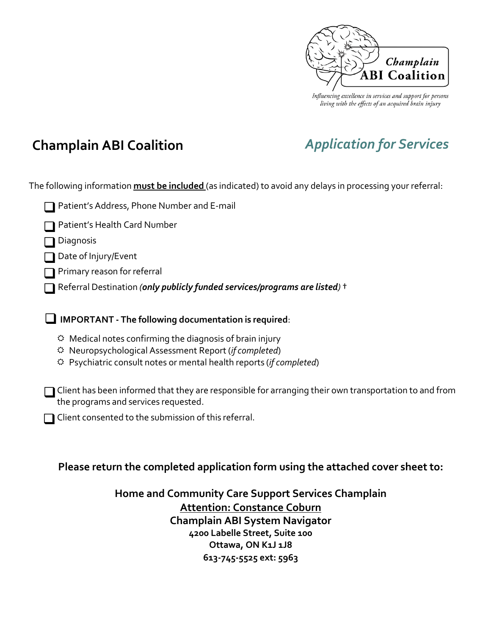

Influencing excellence in services and support for persons living with the effects of an acquired brain injury

# **Champlain ABI Coalition** *Application for Services*

The following information **must be included** (as indicated) to avoid any delays in processing your referral:

| Patient's Address, Phone Number and E-mail |
|--------------------------------------------|
|--------------------------------------------|

Patient's Health Card Number

Diagnosis

Date of Injury/Event

Primary reason for referral

Referral Destination *(only publicly funded services/programs are listed)* †

**IMPORTANT - The following documentation is required**:

- $\Leftrightarrow$  Medical notes confirming the diagnosis of brain injury
- Neuropsychological Assessment Report (*if completed*)
- Psychiatric consult notes or mental health reports (*if completed*)

 $\Box$  Client has been informed that they are responsible for arranging their own transportation to and from the programs and services requested.

 $\Box$  Client consented to the submission of this referral.

## **Please return the completed application form using the attached cover sheet to:**

**Home and Community Care Support Services Champlain Attention: Constance Coburn Champlain ABI System Navigator 4200 Labelle Street, Suite 100 Ottawa, ON K1J 1J8 613-745-5525 ext: 5963**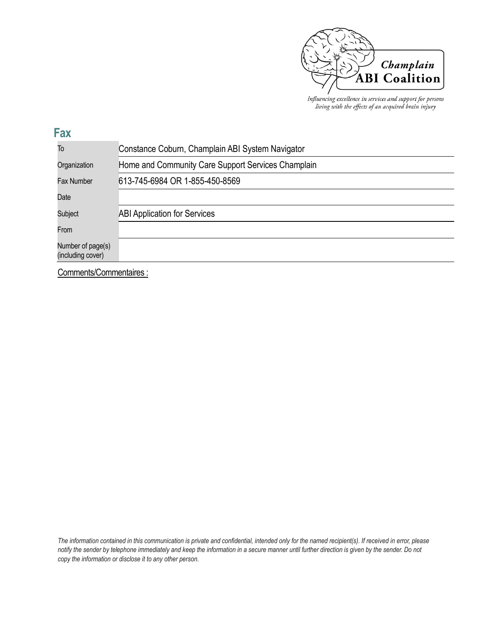

Influencing excellence in services and support for persons living with the effects of an acquired brain injury

| ۰                 |
|-------------------|
| ٠<br>٠<br>I<br>__ |

| To                                     | Constance Coburn, Champlain ABI System Navigator   |  |  |
|----------------------------------------|----------------------------------------------------|--|--|
| Organization                           | Home and Community Care Support Services Champlain |  |  |
| <b>Fax Number</b>                      | 613-745-6984 OR 1-855-450-8569                     |  |  |
| Date                                   |                                                    |  |  |
| Subject                                | <b>ABI Application for Services</b>                |  |  |
| From                                   |                                                    |  |  |
| Number of page(s)<br>(including cover) |                                                    |  |  |

Comments/Commentaires :

The information contained in this communication is private and confidential, intended only for the named recipient(s). If received in error, please notify the sender by telephone immediately and keep the information in a secure manner until further direction is given by the sender. Do not *copy the information or disclose it to any other person.*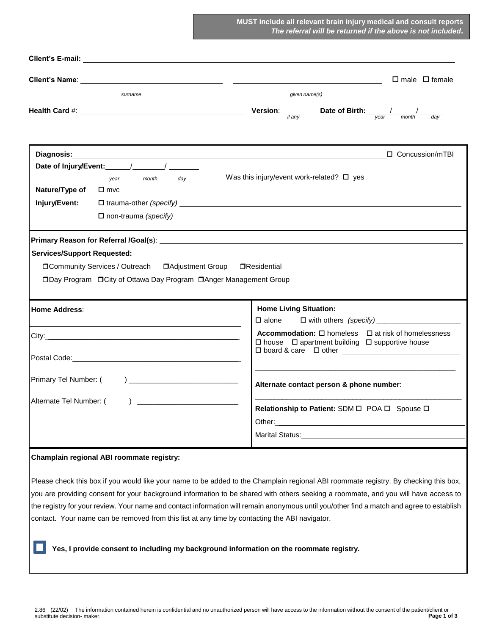**MUST include all relevant brain injury medical and consult reports** *The referral will be returned if the above is not included.*

|                                    | Client's E-mail: <u>Andrea Client and Client and Client</u> and Client's E-mail: <b>Client's E-mail:</b>                         |                                                                                                                                                                                                                                                                                                                                                                                                                         |  |
|------------------------------------|----------------------------------------------------------------------------------------------------------------------------------|-------------------------------------------------------------------------------------------------------------------------------------------------------------------------------------------------------------------------------------------------------------------------------------------------------------------------------------------------------------------------------------------------------------------------|--|
|                                    |                                                                                                                                  | $\Box$ male $\Box$ female<br><u> 1980 - Andrea Andrew Maria (h. 1980).</u>                                                                                                                                                                                                                                                                                                                                              |  |
| surname                            |                                                                                                                                  | given name(s)                                                                                                                                                                                                                                                                                                                                                                                                           |  |
|                                    |                                                                                                                                  | <b>Version:</b> $\frac{1}{\frac{1}{\text{f any}}}$ Date of Birth: $\frac{1}{\text{year}}$<br>day                                                                                                                                                                                                                                                                                                                        |  |
|                                    |                                                                                                                                  | □ Concussion/mTBI<br>Was this injury/event work-related? $\square$ yes                                                                                                                                                                                                                                                                                                                                                  |  |
| Nature/Type of<br>Injury/Event:    | day<br>month<br>year<br>$\square$ mvc                                                                                            |                                                                                                                                                                                                                                                                                                                                                                                                                         |  |
| <b>Services/Support Requested:</b> | □Community Services / Outreach<br><b>□Adjustment Group</b><br>□Day Program □ City of Ottawa Day Program □ Anger Management Group | □Residential                                                                                                                                                                                                                                                                                                                                                                                                            |  |
|                                    |                                                                                                                                  | <b>Home Living Situation:</b>                                                                                                                                                                                                                                                                                                                                                                                           |  |
|                                    | <u> 1989 - Johann Stoff, amerikansk politiker (d. 1989)</u>                                                                      | $\square$ alone<br><b>Accommodation:</b> $\square$ homeless $\square$ at risk of homelessness<br>$\Box$ house $\Box$ apartment building $\Box$ supportive house<br>□ board & care □ other <u>____________________________</u>                                                                                                                                                                                           |  |
| Primary Tel Number: (              |                                                                                                                                  | Alternate contact person & phone number:                                                                                                                                                                                                                                                                                                                                                                                |  |
| Alternate Tel Number: (            |                                                                                                                                  | Relationship to Patient: SDM O POA O Spouse O<br>Marital Status: Marital Status: Marital Status: Marital Status: Marital Status: Marital Status: Marital Status                                                                                                                                                                                                                                                         |  |
|                                    | Champlain regional ABI roommate registry:                                                                                        |                                                                                                                                                                                                                                                                                                                                                                                                                         |  |
|                                    | contact. Your name can be removed from this list at any time by contacting the ABI navigator.                                    | Please check this box if you would like your name to be added to the Champlain regional ABI roommate registry. By checking this box,<br>you are providing consent for your background information to be shared with others seeking a roommate, and you will have access to<br>the registry for your review. Your name and contact information will remain anonymous until you/other find a match and agree to establish |  |
|                                    |                                                                                                                                  | Yes, I provide consent to including my background information on the roommate registry.                                                                                                                                                                                                                                                                                                                                 |  |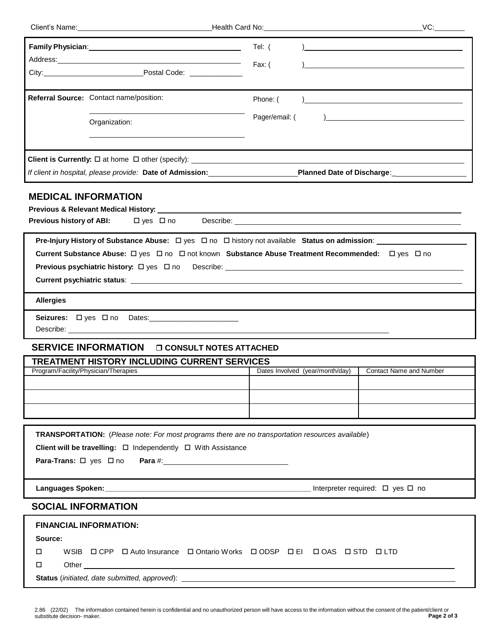| Client's Name: William Client's Name:                                                                                                                                                                                                                                                                                                                                                                       | Health Card No: Note that the state of the state of the state of the state of the state of the state of the state of the state of the state of the state of the state of the state of the state of the state of the state of t | VC:                                                        |
|-------------------------------------------------------------------------------------------------------------------------------------------------------------------------------------------------------------------------------------------------------------------------------------------------------------------------------------------------------------------------------------------------------------|--------------------------------------------------------------------------------------------------------------------------------------------------------------------------------------------------------------------------------|------------------------------------------------------------|
|                                                                                                                                                                                                                                                                                                                                                                                                             | Tel: (<br>Fax: (                                                                                                                                                                                                               | <u> 1989 - Johann Barbara, martxa alemaniar amerikan a</u> |
|                                                                                                                                                                                                                                                                                                                                                                                                             |                                                                                                                                                                                                                                |                                                            |
| Referral Source: Contact name/position:                                                                                                                                                                                                                                                                                                                                                                     | Phone: (                                                                                                                                                                                                                       |                                                            |
| Organization:                                                                                                                                                                                                                                                                                                                                                                                               | Pager/email: (                                                                                                                                                                                                                 |                                                            |
|                                                                                                                                                                                                                                                                                                                                                                                                             |                                                                                                                                                                                                                                |                                                            |
|                                                                                                                                                                                                                                                                                                                                                                                                             |                                                                                                                                                                                                                                |                                                            |
| <b>MEDICAL INFORMATION</b>                                                                                                                                                                                                                                                                                                                                                                                  |                                                                                                                                                                                                                                |                                                            |
| Pre-Injury History of Substance Abuse: □ yes □ no □ history not available Status on admission: ________________<br>Current Substance Abuse: □ yes □ no □ not known Substance Abuse Treatment Recommended: □ yes □ no                                                                                                                                                                                        |                                                                                                                                                                                                                                |                                                            |
| <b>Allergies</b>                                                                                                                                                                                                                                                                                                                                                                                            |                                                                                                                                                                                                                                |                                                            |
| Seizures: Dyes Dno Dates:                                                                                                                                                                                                                                                                                                                                                                                   |                                                                                                                                                                                                                                |                                                            |
| <b>SERVICE INFORMATION</b><br><b>O CONSULT NOTES ATTACHED</b>                                                                                                                                                                                                                                                                                                                                               |                                                                                                                                                                                                                                |                                                            |
| TREATMENT HISTORY INCLUDING CURRENT SERVICES                                                                                                                                                                                                                                                                                                                                                                |                                                                                                                                                                                                                                |                                                            |
| Program/Facility/Physician/Therapies                                                                                                                                                                                                                                                                                                                                                                        | Dates Involved (year/month/day)                                                                                                                                                                                                | <b>Contact Name and Number</b>                             |
|                                                                                                                                                                                                                                                                                                                                                                                                             |                                                                                                                                                                                                                                |                                                            |
| TRANSPORTATION: (Please note: For most programs there are no transportation resources available)<br>Client will be travelling: $\Box$ Independently $\Box$ With Assistance<br>Para-Trans: □ yes □ no Para #: 100 Para 2000 Para 2000 Para #: 2000 Para #: 2000 Para #: 2000 Para #: 2000 Para #: 2000 Para #: 2000 Para #: 2000 Para #: 2000 Para #: 2000 Para #: 2000 Para #: 2000 Para #: 2000 Para #: 20 |                                                                                                                                                                                                                                |                                                            |
|                                                                                                                                                                                                                                                                                                                                                                                                             |                                                                                                                                                                                                                                |                                                            |
| <b>SOCIAL INFORMATION</b>                                                                                                                                                                                                                                                                                                                                                                                   |                                                                                                                                                                                                                                |                                                            |
| <b>FINANCIAL INFORMATION:</b><br>Source:<br>WSIB O CPP O Auto Insurance O Ontario Works O ODSP O EI O OAS O STD O LTD<br>□<br>□                                                                                                                                                                                                                                                                             |                                                                                                                                                                                                                                |                                                            |